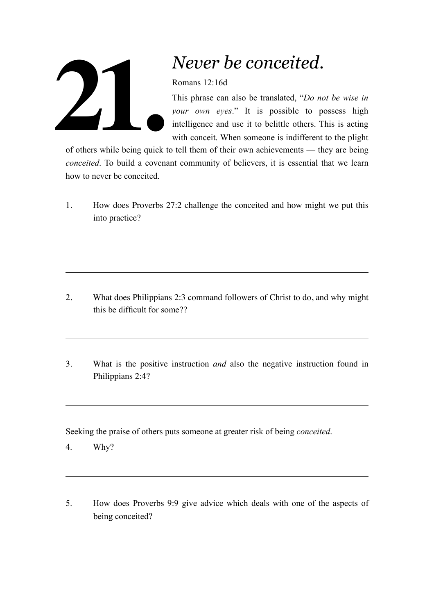

## *Never be conceited.*

Romans 12:16d

This phrase can also be translated, "*Do not be wise in your own eyes*." It is possible to possess high intelligence and use it to belittle others. This is acting with conceit. When someone is indifferent to the plight

of others while being quick to tell them of their own achievements — they are being *conceited*. To build a covenant community of believers, it is essential that we learn how to never be conceited.

1. How does Proverbs 27:2 challenge the conceited and how might we put this into practice?

- 2. What does Philippians 2:3 command followers of Christ to do, and why might this be difficult for some??
- 3. What is the positive instruction *and* also the negative instruction found in Philippians 2:4?

Seeking the praise of others puts someone at greater risk of being *conceited*.

- 4. Why?
- 5. How does Proverbs 9:9 give advice which deals with one of the aspects of being conceited?